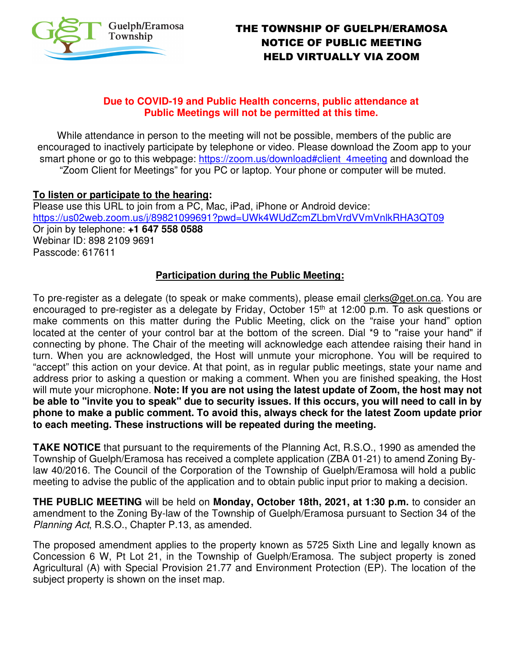

# THE TOWNSHIP OF GUELPH/ERAMOSA NOTICE OF PUBLIC MEETING HELD VIRTUALLY VIA ZOOM

## **Due to COVID-19 and Public Health concerns, public attendance at Public Meetings will not be permitted at this time.**

While attendance in person to the meeting will not be possible, members of the public are encouraged to inactively participate by telephone or video. Please download the Zoom app to your smart phone or go to this webpage: https://zoom.us/download#client\_4meeting and download the "Zoom Client for Meetings" for you PC or laptop. Your phone or computer will be muted.

### **To listen or participate to the hearing:**

Please use this URL to join from a PC, Mac, iPad, iPhone or Android device: https://us02web.zoom.us/j/89821099691?pwd=UWk4WUdZcmZLbmVrdVVmVnlkRHA3QT09 Or join by telephone: **+1 647 558 0588**  Webinar ID: 898 2109 9691 Passcode: 617611

#### **Participation during the Public Meeting:**

To pre-register as a delegate (to speak or make comments), please email clerks@get.on.ca. You are encouraged to pre-register as a delegate by Friday, October 15<sup>th</sup> at 12:00 p.m. To ask questions or make comments on this matter during the Public Meeting, click on the "raise your hand" option located at the center of your control bar at the bottom of the screen. Dial \*9 to "raise your hand" if connecting by phone. The Chair of the meeting will acknowledge each attendee raising their hand in turn. When you are acknowledged, the Host will unmute your microphone. You will be required to "accept" this action on your device. At that point, as in regular public meetings, state your name and address prior to asking a question or making a comment. When you are finished speaking, the Host will mute your microphone. **Note: If you are not using the latest update of Zoom, the host may not be able to "invite you to speak" due to security issues. If this occurs, you will need to call in by phone to make a public comment. To avoid this, always check for the latest Zoom update prior to each meeting. These instructions will be repeated during the meeting.**

**TAKE NOTICE** that pursuant to the requirements of the Planning Act, R.S.O., 1990 as amended the Township of Guelph/Eramosa has received a complete application (ZBA 01-21) to amend Zoning Bylaw 40/2016. The Council of the Corporation of the Township of Guelph/Eramosa will hold a public meeting to advise the public of the application and to obtain public input prior to making a decision.

**THE PUBLIC MEETING** will be held on **Monday, October 18th, 2021, at 1:30 p.m.** to consider an amendment to the Zoning By-law of the Township of Guelph/Eramosa pursuant to Section 34 of the Planning Act, R.S.O., Chapter P.13, as amended.

The proposed amendment applies to the property known as 5725 Sixth Line and legally known as Concession 6 W, Pt Lot 21, in the Township of Guelph/Eramosa. The subject property is zoned Agricultural (A) with Special Provision 21.77 and Environment Protection (EP). The location of the subject property is shown on the inset map.